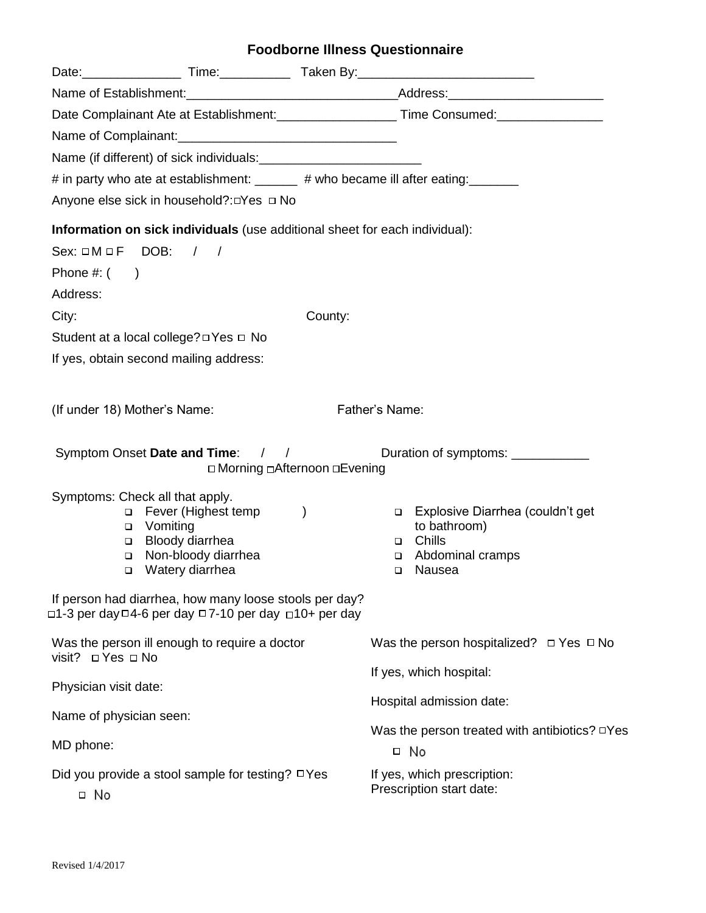# **Foodborne Illness Questionnaire**

| Date Complainant Ate at Establishment: _____________________Time Consumed: ________________________                                    |         |                                                             |
|----------------------------------------------------------------------------------------------------------------------------------------|---------|-------------------------------------------------------------|
|                                                                                                                                        |         |                                                             |
|                                                                                                                                        |         |                                                             |
| # in party who ate at establishment: ______ # who became ill after eating: ______                                                      |         |                                                             |
| Anyone else sick in household?: □ Yes □ No                                                                                             |         |                                                             |
| Information on sick individuals (use additional sheet for each individual):                                                            |         |                                                             |
| Sex: $\square M \square F$ DOB: / /                                                                                                    |         |                                                             |
| Phone $\#$ : $($                                                                                                                       |         |                                                             |
| Address:                                                                                                                               |         |                                                             |
| City:                                                                                                                                  | County: |                                                             |
| Student at a local college? □ Yes □ No                                                                                                 |         |                                                             |
| If yes, obtain second mailing address:                                                                                                 |         |                                                             |
|                                                                                                                                        |         |                                                             |
| (If under 18) Mother's Name:                                                                                                           |         | Father's Name:                                              |
|                                                                                                                                        |         |                                                             |
| Symptom Onset Date and Time: / /                                                                                                       |         | Duration of symptoms: ____________                          |
| □ Morning □ Afternoon □ Evening                                                                                                        |         |                                                             |
| Symptoms: Check all that apply.                                                                                                        |         |                                                             |
| □ Fever (Highest temp<br>□ Vomiting                                                                                                    |         | Explosive Diarrhea (couldn't get<br>to bathroom)            |
| □ Bloody diarrhea                                                                                                                      |         | □ Chills                                                    |
| Non-bloody diarrhea<br>□<br>Watery diarrhea                                                                                            |         | Abdominal cramps<br>Nausea                                  |
| $\Box$                                                                                                                                 |         | $\Box$                                                      |
| If person had diarrhea, how many loose stools per day?<br>$\Box$ 1-3 per day $\Box$ 4-6 per day $\Box$ 7-10 per day $\Box$ 10+ per day |         |                                                             |
| Was the person ill enough to require a doctor<br>visit? $\Box$ Yes $\Box$ No                                                           |         | Was the person hospitalized? $\Box$ Yes $\Box$ No           |
|                                                                                                                                        |         | If yes, which hospital:                                     |
| Physician visit date:                                                                                                                  |         | Hospital admission date:                                    |
| Name of physician seen:                                                                                                                |         |                                                             |
| MD phone:                                                                                                                              |         | Was the person treated with antibiotics? $\Box$ Yes<br>□ No |
| Did you provide a stool sample for testing? $\Box$ Yes<br>$\Box$ No                                                                    |         | If yes, which prescription:                                 |
|                                                                                                                                        |         | Prescription start date:                                    |